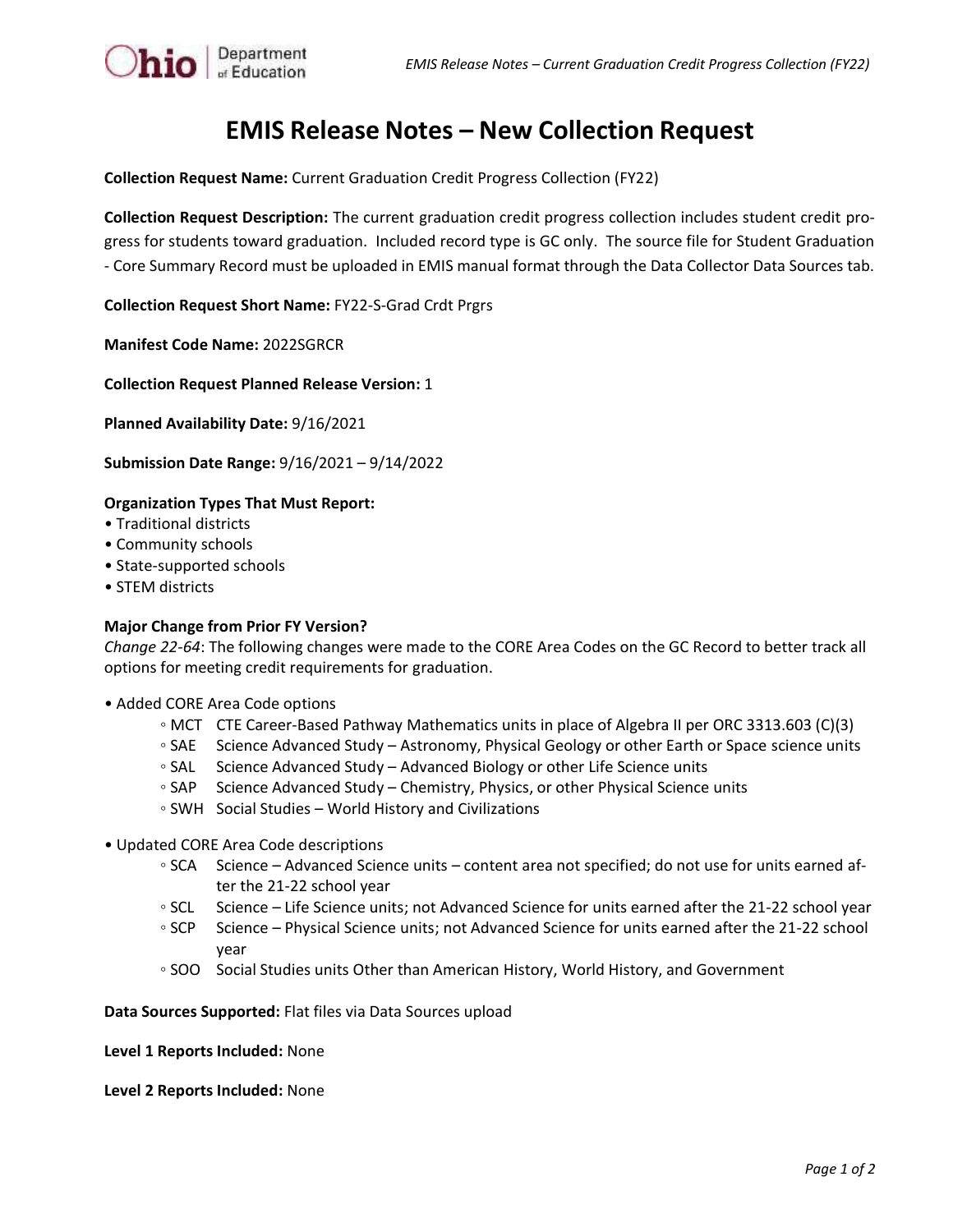

**Collection Request Name:** Current Graduation Credit Progress Collection (FY22)

**Collection Request Description:** The current graduation credit progress collection includes student credit progress for students toward graduation. Included record type is GC only. The source file for Student Graduation - Core Summary Record must be uploaded in EMIS manual format through the Data Collector Data Sources tab.

**Collection Request Short Name:** FY22-S-Grad Crdt Prgrs

**Manifest Code Name:** 2022SGRCR

 $\left\| \mathbf{hio} \right\|_{\text{of Education}}$ 

**Collection Request Planned Release Version:** 1

**Planned Availability Date:** 9/16/2021

**Submission Date Range:** 9/16/2021 – 9/14/2022

## **Organization Types That Must Report:**

- Traditional districts
- Community schools
- State-supported schools
- STEM districts

## **Major Change from Prior FY Version?**

*Change 22-64*: The following changes were made to the CORE Area Codes on the GC Record to better track all options for meeting credit requirements for graduation.

- Added CORE Area Code options
	- MCT CTE Career-Based Pathway Mathematics units in place of Algebra II per ORC 3313.603 (C)(3)
	- SAE Science Advanced Study Astronomy, Physical Geology or other Earth or Space science units
	- SAL Science Advanced Study Advanced Biology or other Life Science units
	- SAP Science Advanced Study Chemistry, Physics, or other Physical Science units
	- SWH Social Studies World History and Civilizations
- Updated CORE Area Code descriptions
	- SCA Science Advanced Science units content area not specified; do not use for units earned after the 21-22 school year
	- SCL Science Life Science units; not Advanced Science for units earned after the 21-22 school year
	- SCP Science Physical Science units; not Advanced Science for units earned after the 21-22 school year
	- SOO Social Studies units Other than American History, World History, and Government

**Data Sources Supported:** Flat files via Data Sources upload

**Level 1 Reports Included:** None

**Level 2 Reports Included:** None